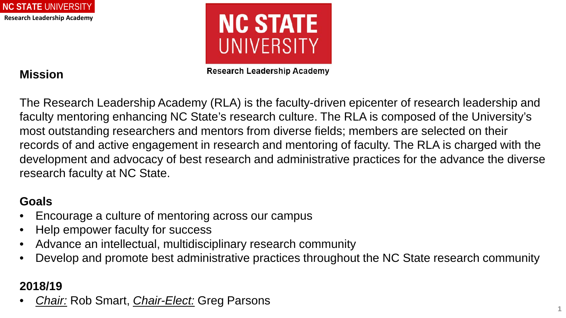



## **Mission**

**Research Leadership Academy** 

The Research Leadership Academy (RLA) is the faculty-driven epicenter of research leadership and faculty mentoring enhancing NC State's research culture. The RLA is composed of the University's most outstanding researchers and mentors from diverse fields; members are selected on their records of and active engagement in research and mentoring of faculty. The RLA is charged with the development and advocacy of best research and administrative practices for the advance the diverse research faculty at NC State.

## **Goals**

- Encourage a culture of mentoring across our campus
- Help empower faculty for success
- Advance an intellectual, multidisciplinary research community
- Develop and promote best administrative practices throughout the NC State research community

## **2018/19**

• *Chair:* Rob Smart, *Chair-Elect:* Greg Parsons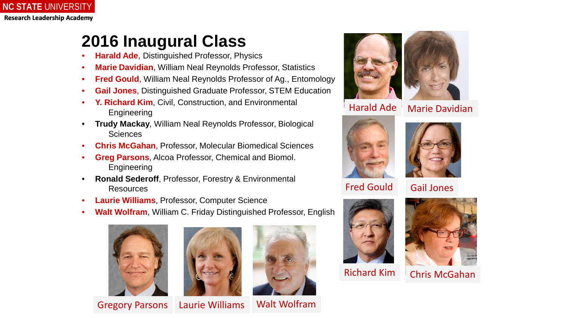# **2016 Inaugural Class**

- **Harald Ade**, Distinguished Professor, Physics
- **Marie Davidian**, William Neal Reynolds Professor, Statistics
- **Fred Gould**, William Neal Reynolds Professor of Ag., Entomology
- **Gail Jones**, Distinguished Graduate Professor, STEM Education
- Y. Richard Kim, Civil, Construction, and Environmental **Engineering**
- **Trudy Mackay**, William Neal Reynolds Professor, Biological **Sciences**
- **Chris McGahan**, Professor, Molecular Biomedical Sciences
- **Greg Parsons**, Alcoa Professor, Chemical and Biomol. **Engineering**
- **Ronald Sederoff**, Professor, Forestry & Environmental Resources
- **Laurie Williams**, Professor, Computer Science
- **Walt Wolfram**, William C. Friday Distinguished Professor, English









Walt Wolfram



Harald Ade

Marie Davidian





Fred Gould Gail Jones



Richard Kim



Chris McGahan



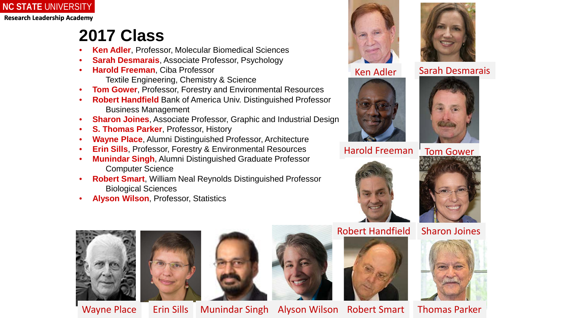**NC STATE** UNIVERSITY **Research Leadership Academy**

## **2017 Class**

- **Ken Adler**, Professor, Molecular Biomedical Sciences
- **Sarah Desmarais**, Associate Professor, Psychology
- **Harold Freeman**, Ciba Professor Textile Engineering, Chemistry & Science
- **Tom Gower**, Professor, Forestry and Environmental Resources
- **Robert Handfield** Bank of America Univ. Distinguished Professor Business Management
- **Sharon Joines**, Associate Professor, Graphic and Industrial Design
- **S. Thomas Parker**, Professor, History
- **Wayne Place**, Alumni Distinguished Professor, Architecture
- **Erin Sills, Professor, Forestry & Environmental Resources**
- **Munindar Singh**, Alumni Distinguished Graduate Professor Computer Science
- **Robert Smart**, William Neal Reynolds Distinguished Professor Biological Sciences
- **Alyson Wilson**, Professor, Statistics









Harold Freeman Tom Gower















Wayne Place | Erin Sills Munindar Singh Alyson Wilson Robert Smart | Thomas Parker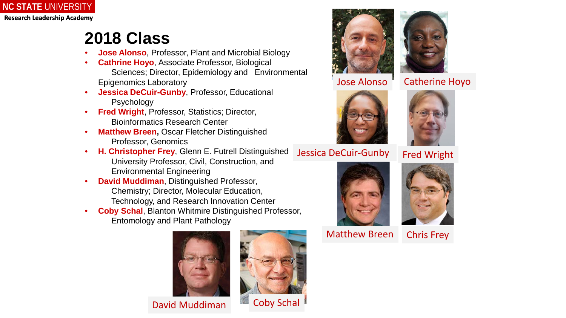

# **2018 Class**

- **Jose Alonso**, Professor, Plant and Microbial Biology
- **Cathrine Hoyo**, Associate Professor, Biological Sciences; Director, Epidemiology and Environmental Epigenomics Laboratory
- **Jessica DeCuir-Gunby**, Professor, Educational Psychology
- **Fred Wright, Professor, Statistics; Director,** Bioinformatics Research Center
- **Matthew Breen, Oscar Fletcher Distinguished** Professor, Genomics
- **H. Christopher Frey**, Glenn E. Futrell Distinguished University Professor, Civil, Construction, and Environmental Engineering
- **David Muddiman**, Distinguished Professor, Chemistry; Director, Molecular Education, Technology, and Research Innovation Center
- **Coby Schal**, Blanton Whitmire Distinguished Professor, Entomology and Plant Pathology



David Muddiman









#### Jose Alonso | Catherine Hoyo



### Jessica DeCuir-Gunby Fred Wright



Matthew Breen



Chris Frey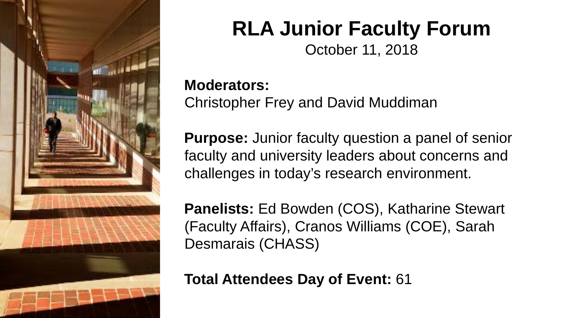

# **RLA Junior Faculty Forum**

October 11, 2018

## **Moderators:**

Christopher Frey and David Muddiman

**Purpose:** Junior faculty question a panel of senior faculty and university leaders about concerns and challenges in today's research environment.

**Panelists:** Ed Bowden (COS), Katharine Stewart (Faculty Affairs), Cranos Williams (COE), Sarah Desmarais (CHASS)

**Total Attendees Day of Event:** 61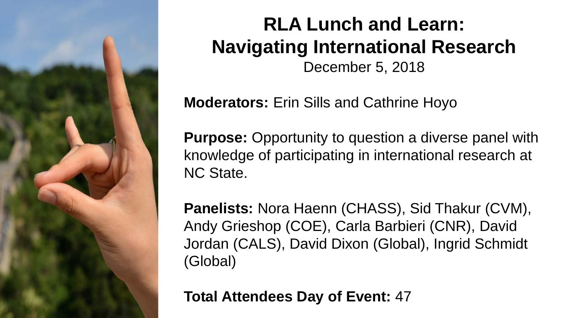

# **RLA Lunch and Learn: Navigating International Research** December 5, 2018

**Moderators:** Erin Sills and Cathrine Hoyo

**Purpose:** Opportunity to question a diverse panel with knowledge of participating in international research at NC State.

**Panelists:** Nora Haenn (CHASS), Sid Thakur (CVM), Andy Grieshop (COE), Carla Barbieri (CNR), David Jordan (CALS), David Dixon (Global), Ingrid Schmidt (Global)

**Total Attendees Day of Event:** 47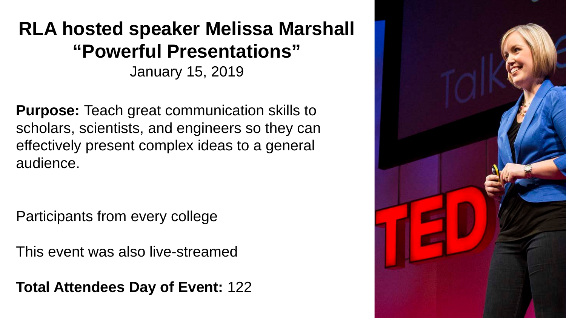## **Research Leadership Academy RLA hosted speaker Melissa Marshall "Powerful Presentations"**

January 15, 2019

**Purpose:** Teach great communication skills to scholars, scientists, and engineers so they can effectively present complex ideas to a general audience.

Participants from every college

This event was also live-streamed

**Total Attendees Day of Event:** 122

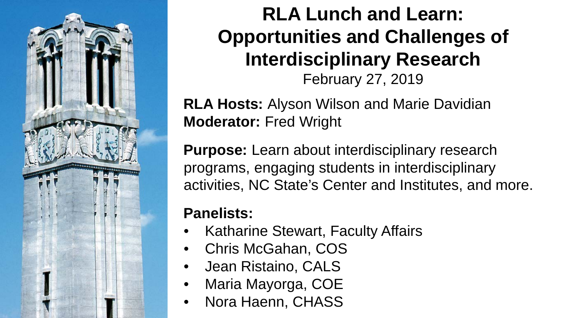

# **RLA Lunch and Learn: Opportunities and Challenges of Interdisciplinary Research**  February 27, 2019

**RLA Hosts:** Alyson Wilson and Marie Davidian **Moderator:** Fred Wright

**Purpose:** Learn about interdisciplinary research programs, engaging students in interdisciplinary activities, NC State's Center and Institutes, and more.

## **Panelists:**

- Katharine Stewart, Faculty Affairs
- Chris McGahan, COS
- Jean Ristaino, CALS
- Maria Mayorga, COE
- Nora Haenn, CHASS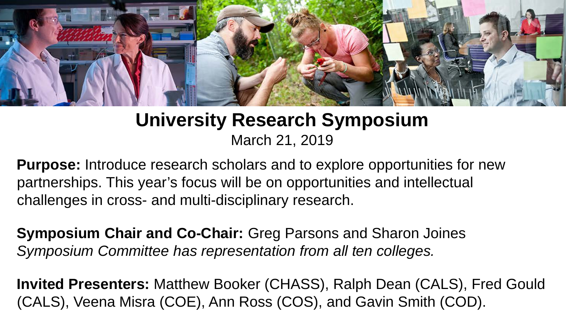

# **University Research Symposium** March 21, 2019

**Purpose:** Introduce research scholars and to explore opportunities for new partnerships. This year's focus will be on opportunities and intellectual challenges in cross- and multi-disciplinary research.

**Symposium Chair and Co-Chair:** Greg Parsons and Sharon Joines *Symposium Committee has representation from all ten colleges.*

**Invited Presenters:** Matthew Booker (CHASS), Ralph Dean (CALS), Fred Gould (CALS), Veena Misra (COE), Ann Ross (COS), and Gavin Smith (COD).